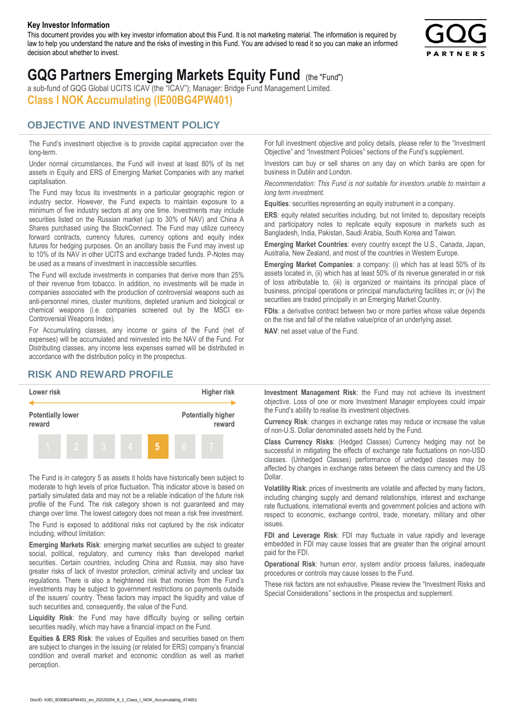#### **Key Investor Information**

This document provides you with key investor information about this Fund. It is not marketing material. The information is required by law to help you understand the nature and the risks of investing in this Fund. You are advised to read it so you can make an informed decision about whether to invest.



# **GQG Partners Emerging Markets Equity Fund** (the "Fund")

a sub-fund of GQG Global UCITS ICAV (the "ICAV"); Manager: Bridge Fund Management Limited. **Class I NOK Accumulating (IE00BG4PW401)**

## **OBJECTIVE AND INVESTMENT POLICY**

The Fund's investment objective is to provide capital appreciation over the long-term.

Under normal circumstances, the Fund will invest at least 80% of its net assets in Equity and ERS of Emerging Market Companies with any market capitalisation.

The Fund may focus its investments in a particular geographic region or industry sector. However, the Fund expects to maintain exposure to a minimum of five industry sectors at any one time. Investments may include securities listed on the Russian market (up to 30% of NAV) and China A Shares purchased using the StockConnect. The Fund may utilize currency forward contracts, currency futures, currency options and equity index futures for hedging purposes. On an ancillary basis the Fund may invest up to 10% of its NAV in other UCITS and exchange traded funds. P-Notes may be used as a means of investment in inaccessible securities.

The Fund will exclude investments in companies that derive more than 25% of their revenue from tobacco. In addition, no investments will be made in companies associated with the production of controversial weapons such as anti-personnel mines, cluster munitions, depleted uranium and biological or chemical weapons (i.e. companies screened out by the MSCI ex-Controversial Weapons Index).

For Accumulating classes, any income or gains of the Fund (net of expenses) will be accumulated and reinvested into the NAV of the Fund. For Distributing classes, any income less expenses earned will be distributed in accordance with the distribution policy in the prospectus.

# **RISK AND REWARD PROFILE**



The Fund is in category 5 as assets it holds have historically been subject to moderate to high levels of price fluctuation. This indicator above is based on partially simulated data and may not be a reliable indication of the future risk profile of the Fund. The risk category shown is not guaranteed and may change over time. The lowest category does not mean a risk free investment.

The Fund is exposed to additional risks not captured by the risk indicator including, without limitation:

**Emerging Markets Risk**: emerging market securities are subject to greater social, political, regulatory, and currency risks than developed market securities. Certain countries, including China and Russia, may also have greater risks of lack of investor protection, criminal activity and unclear tax regulations. There is also a heightened risk that monies from the Fund's investments may be subject to government restrictions on payments outside of the issuers' country. These factors may impact the liquidity and value of such securities and, consequently, the value of the Fund.

**Liquidity Risk**: the Fund may have difficulty buying or selling certain securities readily, which may have a financial impact on the Fund.

**Equities & ERS Risk**: the values of Equities and securities based on them are subject to changes in the issuing (or related for ERS) company's financial condition and overall market and economic condition as well as market perception.

For full investment objective and policy details, please refer to the "Investment Objective" and "Investment Policies" sections of the Fund's supplement.

Investors can buy or sell shares on any day on which banks are open for business in Dublin and London.

*Recommendation: This Fund is not suitable for investors unable to maintain a long term investment.*

**Equities**: securities representing an equity instrument in a company.

**ERS:** equity related securities including, but not limited to, depositary receipts and participatory notes to replicate equity exposure in markets such as Bangladesh, India, Pakistan, Saudi Arabia, South Korea and Taiwan.

**Emerging Market Countries**: every country except the U.S., Canada, Japan, Australia, New Zealand, and most of the countries in Western Europe.

**Emerging Market Companies**: a company: (i) which has at least 50% of its assets located in, (ii) which has at least 50% of its revenue generated in or risk of loss attributable to, (iii) is organized or maintains its principal place of business, principal operations or principal manufacturing facilities in; or (iv) the securities are traded principally in an Emerging Market Country.

**FDIs**: a derivative contract between two or more parties whose value depends on the rise and fall of the relative value/price of an underlying asset.

**NAV**: net asset value of the Fund.

**Investment Management Risk**: the Fund may not achieve its investment objective. Loss of one or more Investment Manager employees could impair the Fund's ability to realise its investment objectives.

**Currency Risk**: changes in exchange rates may reduce or increase the value of non-U.S. Dollar denominated assets held by the Fund.

**Class Currency Risks**: (Hedged Classes) Currency hedging may not be successful in mitigating the effects of exchange rate fluctuations on non-USD classes. (Unhedged Classes) performance of unhedged classes may be affected by changes in exchange rates between the class currency and the US Dollar.

**Volatility Risk**: prices of investments are volatile and affected by many factors, including changing supply and demand relationships, interest and exchange rate fluctuations, international events and government policies and actions with respect to economic, exchange control, trade, monetary, military and other issues.

**FDI and Leverage Risk**: FDI may fluctuate in value rapidly and leverage embedded in FDI may cause losses that are greater than the original amount paid for the FDI.

**Operational Risk**: human error, system and/or process failures, inadequate procedures or controls may cause losses to the Fund.

These risk factors are not exhaustive. Please review the "Investment Risks and Special Considerations" sections in the prospectus and supplement.